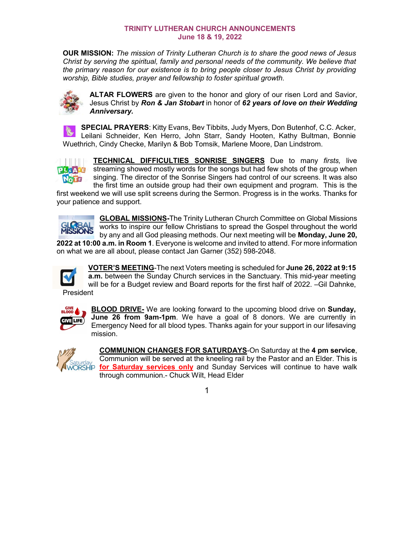## **TRINITY LUTHERAN CHURCH ANNOUNCEMENTS June 18 & 19, 2022**

**OUR MISSION:** *The mission of Trinity Lutheran Church is to share the good news of Jesus Christ by serving the spiritual, family and personal needs of the community. We believe that the primary reason for our existence is to bring people closer to Jesus Christ by providing worship, Bible studies, prayer and fellowship to foster spiritual growth.*



**ALTAR FLOWERS** are given to the honor and glory of our risen Lord and Savior, Jesus Christ by *Ron & Jan Stobart* in honor of *62 years of love on their Wedding Anniversary.* 

**SPECIAL PRAYERS**: Kitty Evans, Bev Tibbits, Judy Myers, Don Butenhof, C.C. Acker, Leilani Schneider, Ken Herro, John Starr, Sandy Hooten, Kathy Bultman, Bonnie Wuethrich, Cindy Checke, Marilyn & Bob Tomsik, Marlene Moore, Dan Lindstrom.

**TECHNICAL DIFFICULTIES SONRISE SINGERS** Due to many *firsts,* live streaming showed mostly words for the songs but had few shots of the group when PLEASE singing. The director of the Sonrise Singers had control of our screens. It was also NoTH the first time an outside group had their own equipment and program. This is the

first weekend we will use split screens during the Sermon. Progress is in the works. Thanks for your patience and support.



**GLOBAL MISSIONS-**The Trinity Lutheran Church Committee on Global Missions works to inspire our fellow Christians to spread the Gospel throughout the world by any and all God pleasing methods. Our next meeting will be **Monday, June 20, 2022 at 10:00 a.m. in Room 1**. Everyone is welcome and invited to attend. For more information

on what we are all about, please contact Jan Garner (352) 598-2048.



**VOTER'S MEETING**-The next Voters meeting is scheduled for **June 26, 2022 at 9:15 a.m.** between the Sunday Church services in the Sanctuary. This mid-year meeting will be for a Budget review and Board reports for the first half of 2022. –Gil Dahnke,

**President** 



**BLOOD DRIVE-** We are looking forward to the upcoming blood drive on **Sunday, June 26 from 9am-1pm**. We have a goal of 8 donors. We are currently in Emergency Need for all blood types. Thanks again for your support in our lifesaving mission.



**COMMUNION CHANGES FOR SATURDAYS**-On Saturday at the **4 pm service**, Communion will be served at the kneeling rail by the Pastor and an Elder. This is **for Saturday services only** and Sunday Services will continue to have walk through communion.- Chuck Wilt, Head Elder

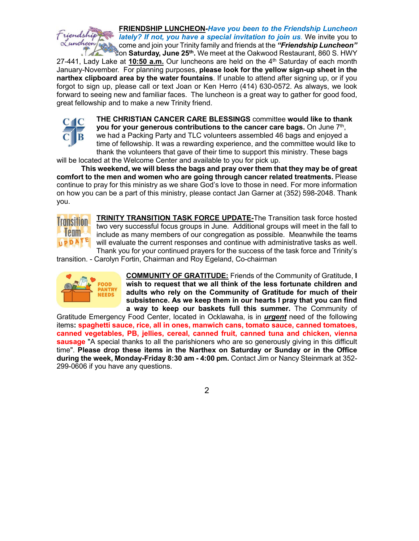

27-441, Lady Lake at **10:50 a.m.** Our luncheons are held on the 4th Saturday of each month January-November. For planning purposes, **please look for the yellow sign-up sheet in the narthex clipboard area by the water fountains**. If unable to attend after signing up, or if you forgot to sign up, please call or text Joan or Ken Herro (414) 630-0572. As always, we look forward to seeing new and familiar faces. The luncheon is a great way to gather for good food, great fellowship and to make a new Trinity friend.



**THE CHRISTIAN CANCER CARE BLESSINGS** committee **would like to thank you for your generous contributions to the cancer care bags.** On June 7<sup>th</sup>, we had a Packing Party and TLC volunteers assembled 46 bags and enjoyed a time of fellowship. It was a rewarding experience, and the committee would like to thank the volunteers that gave of their time to support this ministry. These bags

will be located at the Welcome Center and available to you for pick up.

**This weekend, we will bless the bags and pray over them that they may be of great comfort to the men and women who are going through cancer related treatments.** Please continue to pray for this ministry as we share God's love to those in need. For more information on how you can be a part of this ministry, please contact Jan Garner at (352) 598-2048. Thank you.



**TRINITY TRANSITION TASK FORCE UPDATE-**The Transition task force hosted two very successful focus groups in June. Additional groups will meet in the fall to include as many members of our congregation as possible. Meanwhile the teams will evaluate the current responses and continue with administrative tasks as well. Thank you for your continued prayers for the success of the task force and Trinity's

transition. - Carolyn Fortin, Chairman and Roy Egeland, Co-chairman



**COMMUNITY OF GRATITUDE:** Friends of the Community of Gratitude, **I wish to request that we all think of the less fortunate children and adults who rely on the Community of Gratitude for much of their subsistence. As we keep them in our hearts I pray that you can find a way to keep our baskets full this summer.** The Community of

Gratitude Emergency Food Center, located in Ocklawaha, is in *urgent* need of the following items**: spaghetti sauce, rice, all in ones, manwich cans, tomato sauce, canned tomatoes, canned vegetables, PB, jellies, cereal, canned fruit, canned tuna and chicken, vienna sausage** "A special thanks to all the parishioners who are so generously giving in this difficult time". **Please drop these items in the Narthex on Saturday or Sunday or in the Office during the week, Monday-Friday 8:30 am - 4:00 pm.** Contact Jim or Nancy Steinmark at 352- 299-0606 if you have any questions.

2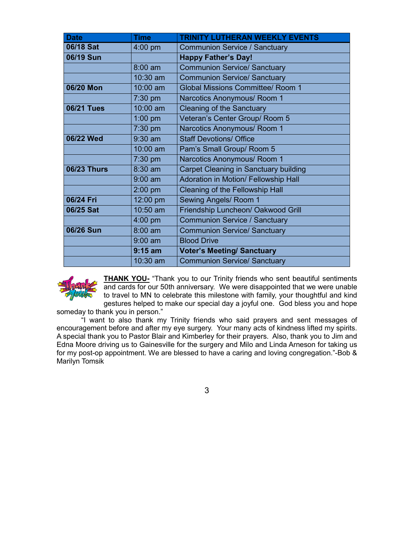| <b>Date</b>        | <b>Time</b>       | <b>TRINITY LUTHERAN WEEKLY EVENTS</b>        |  |  |
|--------------------|-------------------|----------------------------------------------|--|--|
| 06/18 Sat          | $4:00$ pm         | <b>Communion Service / Sanctuary</b>         |  |  |
| 06/19 Sun          |                   | <b>Happy Father's Day!</b>                   |  |  |
|                    | $8:00 \text{ am}$ | <b>Communion Service/ Sanctuary</b>          |  |  |
|                    | 10:30 am          | <b>Communion Service/ Sanctuary</b>          |  |  |
| 06/20 Mon          | 10:00 am          | <b>Global Missions Committee/ Room 1</b>     |  |  |
|                    | $7:30$ pm         | Narcotics Anonymous/ Room 1                  |  |  |
| <b>06/21 Tues</b>  | 10:00 am          | <b>Cleaning of the Sanctuary</b>             |  |  |
|                    | $1:00$ pm         | Veteran's Center Group/ Room 5               |  |  |
|                    | $7:30$ pm         | Narcotics Anonymous/ Room 1                  |  |  |
| 06/22 Wed          | $9:30$ am         | <b>Staff Devotions/ Office</b>               |  |  |
|                    | 10:00 am          | Pam's Small Group/ Room 5                    |  |  |
|                    | $7:30$ pm         | Narcotics Anonymous/ Room 1                  |  |  |
| <b>06/23 Thurs</b> | 8:30 am           | <b>Carpet Cleaning in Sanctuary building</b> |  |  |
|                    | $9:00$ am         | Adoration in Motion/ Fellowship Hall         |  |  |
|                    | $2:00$ pm         | Cleaning of the Fellowship Hall              |  |  |
| 06/24 Fri          | 12:00 pm          | Sewing Angels/ Room 1                        |  |  |
| 06/25 Sat          | 10:50 am          | Friendship Luncheon/ Oakwood Grill           |  |  |
|                    | $4:00$ pm         | <b>Communion Service / Sanctuary</b>         |  |  |
| 06/26 Sun          | $8:00$ am         | <b>Communion Service/ Sanctuary</b>          |  |  |
|                    | $9:00$ am         | <b>Blood Drive</b>                           |  |  |
|                    | $9:15$ am         | <b>Voter's Meeting/ Sanctuary</b>            |  |  |
|                    | 10:30 am          | <b>Communion Service/ Sanctuary</b>          |  |  |



**THANK YOU-** "Thank you to our Trinity friends who sent beautiful sentiments and cards for our 50th anniversary. We were disappointed that we were unable to travel to MN to celebrate this milestone with family, your thoughtful and kind gestures helped to make our special day a joyful one. God bless you and hope

someday to thank you in person."

"I want to also thank my Trinity friends who said prayers and sent messages of encouragement before and after my eye surgery. Your many acts of kindness lifted my spirits. A special thank you to Pastor Blair and Kimberley for their prayers. Also, thank you to Jim and Edna Moore driving us to Gainesville for the surgery and Milo and Linda Arneson for taking us for my post-op appointment. We are blessed to have a caring and loving congregation."-Bob & Marilyn Tomsik

3